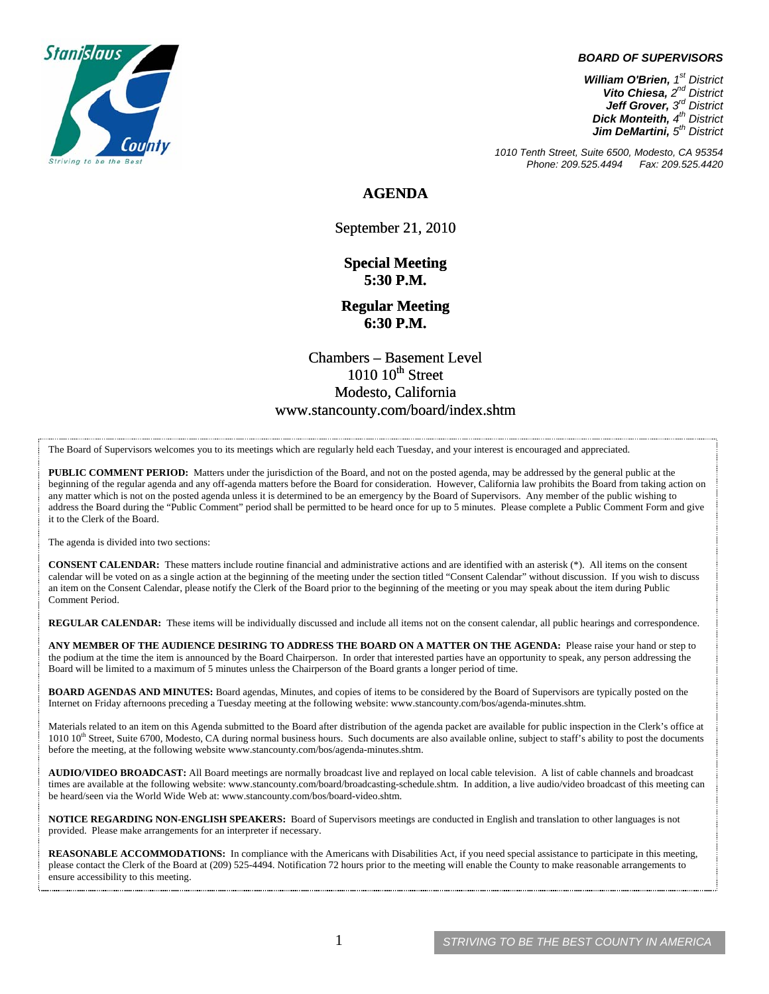

## *BOARD OF SUPERVISORS*

*William O'Brien, 1st District Vito Chiesa, 2nd District Jeff Grover, 3rd District Dick Monteith, 4th District Jim DeMartini, 5th District*

*1010 Tenth Street, Suite 6500, Modesto, CA 95354 Phone: 209.525.4494* 

**AGENDA** 

September 21, 2010

**Special Meeting 5:30 P.M.** 

**Regular Meeting 6:30 P.M.** 

Chambers – Basement Level  $1010$   $10^{th}$  Street Modesto, California www.stancounty.com/board/index.shtm

The Board of Supervisors welcomes you to its meetings which are regularly held each Tuesday, and your interest is encouraged and appreciated.

**PUBLIC COMMENT PERIOD:** Matters under the jurisdiction of the Board, and not on the posted agenda, may be addressed by the general public at the beginning of the regular agenda and any off-agenda matters before the Board for consideration. However, California law prohibits the Board from taking action on any matter which is not on the posted agenda unless it is determined to be an emergency by the Board of Supervisors. Any member of the public wishing to address the Board during the "Public Comment" period shall be permitted to be heard once for up to 5 minutes. Please complete a Public Comment Form and give it to the Clerk of the Board.

The agenda is divided into two sections:

**CONSENT CALENDAR:** These matters include routine financial and administrative actions and are identified with an asterisk (\*). All items on the consent calendar will be voted on as a single action at the beginning of the meeting under the section titled "Consent Calendar" without discussion. If you wish to discuss an item on the Consent Calendar, please notify the Clerk of the Board prior to the beginning of the meeting or you may speak about the item during Public Comment Period.

**REGULAR CALENDAR:** These items will be individually discussed and include all items not on the consent calendar, all public hearings and correspondence.

**ANY MEMBER OF THE AUDIENCE DESIRING TO ADDRESS THE BOARD ON A MATTER ON THE AGENDA:** Please raise your hand or step to the podium at the time the item is announced by the Board Chairperson. In order that interested parties have an opportunity to speak, any person addressing the Board will be limited to a maximum of 5 minutes unless the Chairperson of the Board grants a longer period of time.

**BOARD AGENDAS AND MINUTES:** Board agendas, Minutes, and copies of items to be considered by the Board of Supervisors are typically posted on the Internet on Friday afternoons preceding a Tuesday meeting at the following website: www.stancounty.com/bos/agenda-minutes.shtm.

Materials related to an item on this Agenda submitted to the Board after distribution of the agenda packet are available for public inspection in the Clerk's office at 1010 10<sup>th</sup> Street, Suite 6700, Modesto, CA during normal business hours. Such documents are also available online, subject to staff's ability to post the documents before the meeting, at the following website www.stancounty.com/bos/agenda-minutes.shtm.

**AUDIO/VIDEO BROADCAST:** All Board meetings are normally broadcast live and replayed on local cable television. A list of cable channels and broadcast times are available at the following website: www.stancounty.com/board/broadcasting-schedule.shtm. In addition, a live audio/video broadcast of this meeting can be heard/seen via the World Wide Web at: www.stancounty.com/bos/board-video.shtm.

**NOTICE REGARDING NON-ENGLISH SPEAKERS:** Board of Supervisors meetings are conducted in English and translation to other languages is not provided. Please make arrangements for an interpreter if necessary.

**REASONABLE ACCOMMODATIONS:** In compliance with the Americans with Disabilities Act, if you need special assistance to participate in this meeting, please contact the Clerk of the Board at (209) 525-4494. Notification 72 hours prior to the meeting will enable the County to make reasonable arrangements to ensure accessibility to this meeting.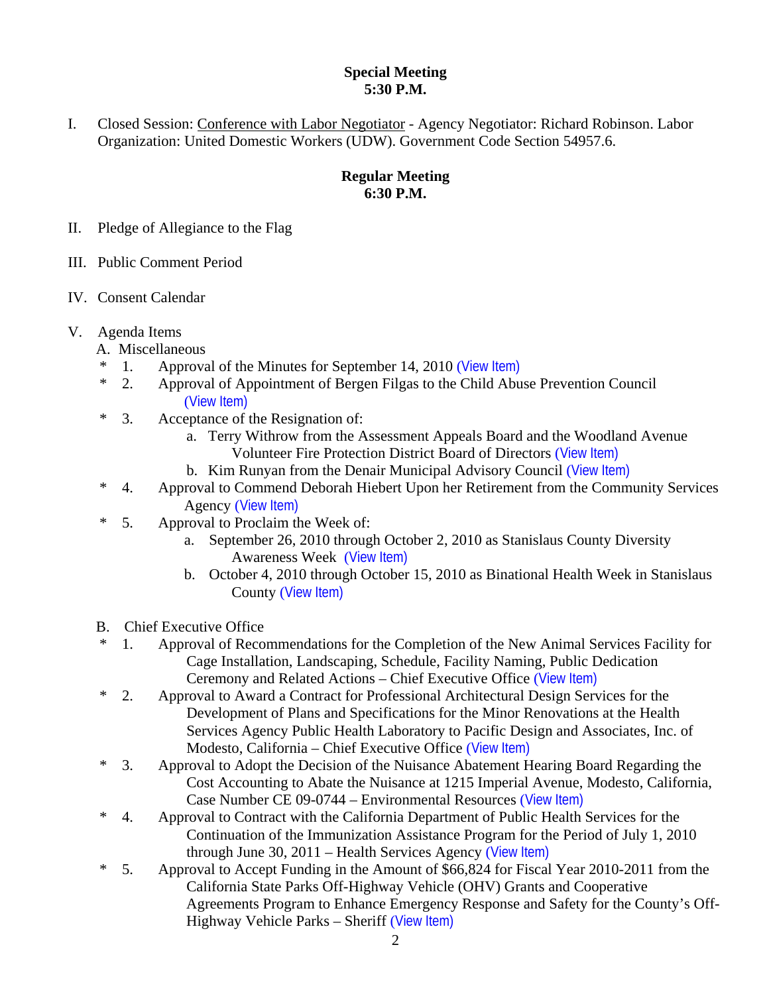## **Special Meeting 5:30 P.M.**

I. Closed Session: Conference with Labor Negotiator - Agency Negotiator: Richard Robinson. Labor Organization: United Domestic Workers (UDW). Government Code Section 54957.6.

## **Regular Meeting 6:30 P.M.**

- II. Pledge of Allegiance to the Flag
- III. Public Comment Period
- IV. Consent Calendar
- V. Agenda Items
	- A. Miscellaneous
	- \* 1. Approval of the Minutes for September 14, 2010 ([View Item\)](http://www.stancounty.com/bos/minutes/2010/min09-14-10.pdf)
	- \* 2. Approval of Appointment of Bergen Filgas to the Child Abuse Prevention Council ([View Item\)](http://www.stancounty.com/bos/agenda/2010/20100921/A02.pdf)
	- \* 3. Acceptance of the Resignation of:
		- a. Terry Withrow from the Assessment Appeals Board and the Woodland Avenue Volunteer Fire Protection District Board of Directors ([View Item\)](http://www.stancounty.com/bos/agenda/2010/20100921/A03a.pdf)
		- b. Kim Runyan from the Denair Municipal Advisory Council ([View Item\)](http://www.stancounty.com/bos/agenda/2010/20100921/A03b.pdf)
	- \* 4. Approval to Commend Deborah Hiebert Upon her Retirement from the Community Services Agency ([View Item\)](http://www.stancounty.com/bos/agenda/2010/20100921/A04.pdf)
	- \* 5. Approval to Proclaim the Week of:
		- a. September 26, 2010 through October 2, 2010 as Stanislaus County Diversity Awareness Week ([View Item\)](http://www.stancounty.com/bos/agenda/2010/20100921/A05a.pdf)
		- b. October 4, 2010 through October 15, 2010 as Binational Health Week in Stanislaus County ([View Item\)](http://www.stancounty.com/bos/agenda/2010/20100921/A05b.pdf)
	- B. Chief Executive Office
	- \* 1. Approval of Recommendations for the Completion of the New Animal Services Facility for Cage Installation, Landscaping, Schedule, Facility Naming, Public Dedication Ceremony and Related Actions – Chief Executive Office ([View Item\)](http://www.stancounty.com/bos/agenda/2010/20100921/B01.pdf)
	- \* 2. Approval to Award a Contract for Professional Architectural Design Services for the Development of Plans and Specifications for the Minor Renovations at the Health Services Agency Public Health Laboratory to Pacific Design and Associates, Inc. of Modesto, California – Chief Executive Office ([View Item\)](http://www.stancounty.com/bos/agenda/2010/20100921/B02.pdf)
	- \* 3. Approval to Adopt the Decision of the Nuisance Abatement Hearing Board Regarding the Cost Accounting to Abate the Nuisance at 1215 Imperial Avenue, Modesto, California, Case Number CE 09-0744 – Environmental Resources ([View Item\)](http://www.stancounty.com/bos/agenda/2010/20100921/B03.pdf)
	- \* 4. Approval to Contract with the California Department of Public Health Services for the Continuation of the Immunization Assistance Program for the Period of July 1, 2010 through June 30,  $2011$  – Health Services Agency ([View Item\)](http://www.stancounty.com/bos/agenda/2010/20100921/B04.pdf)
	- \* 5. Approval to Accept Funding in the Amount of \$66,824 for Fiscal Year 2010-2011 from the California State Parks Off-Highway Vehicle (OHV) Grants and Cooperative Agreements Program to Enhance Emergency Response and Safety for the County's Off-Highway Vehicle Parks - Sheriff ([View Item\)](http://www.stancounty.com/bos/agenda/2010/20100921/B05.pdf)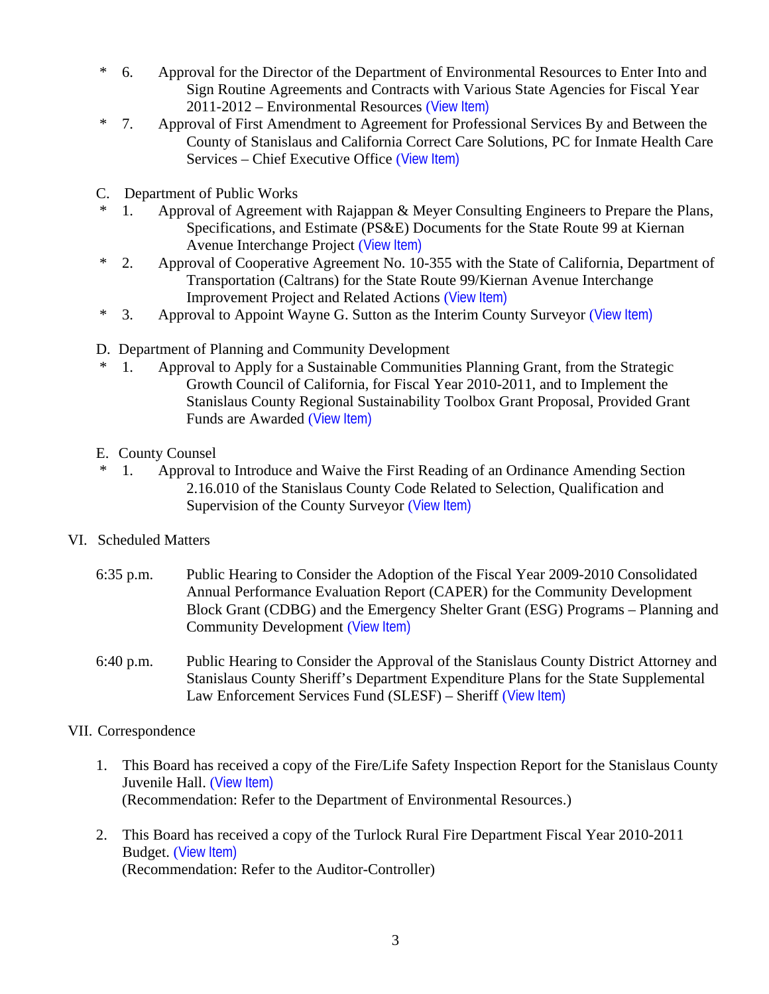- \* 6. Approval for the Director of the Department of Environmental Resources to Enter Into and Sign Routine Agreements and Contracts with Various State Agencies for Fiscal Year 2011-2012 – Environmental Resources ([View Item\)](http://www.stancounty.com/bos/agenda/2010/20100921/B06.pdf)
- \* 7. Approval of First Amendment to Agreement for Professional Services By and Between the County of Stanislaus and California Correct Care Solutions, PC for Inmate Health Care Services – Chief Executive Office ([View Item\)](http://www.stancounty.com/bos/agenda/2010/20100921/B07.pdf)
- C. Department of Public Works
- 1. Approval of Agreement with Rajappan & Meyer Consulting Engineers to Prepare the Plans, Specifications, and Estimate (PS&E) Documents for the State Route 99 at Kiernan Avenue Interchange Project ([View Item\)](http://www.stancounty.com/bos/agenda/2010/20100921/C01.pdf)
- \* 2. Approval of Cooperative Agreement No. 10-355 with the State of California, Department of Transportation (Caltrans) for the State Route 99/Kiernan Avenue Interchange Improvement Project and Related Actions ([View Item\)](http://www.stancounty.com/bos/agenda/2010/20100921/C02.pdf)
- \* 3. Approval to Appoint Wayne G. Sutton as the Interim County Surveyor ([View Item\)](http://www.stancounty.com/bos/agenda/2010/20100921/C03.pdf)
- D. Department of Planning and Community Development
- \* 1. Approval to Apply for a Sustainable Communities Planning Grant, from the Strategic Growth Council of California, for Fiscal Year 2010-2011, and to Implement the Stanislaus County Regional Sustainability Toolbox Grant Proposal, Provided Grant Funds are Awarded ([View Item\)](http://www.stancounty.com/bos/agenda/2010/20100921/D01.pdf)
- E. County Counsel
- \* 1. Approval to Introduce and Waive the First Reading of an Ordinance Amending Section 2.16.010 of the Stanislaus County Code Related to Selection, Qualification and Supervision of the County Surveyor ([View Item\)](http://www.stancounty.com/bos/agenda/2010/20100921/E01.pdf)
- VI. Scheduled Matters
	- 6:35 p.m. Public Hearing to Consider the Adoption of the Fiscal Year 2009-2010 Consolidated Annual Performance Evaluation Report (CAPER) for the Community Development Block Grant (CDBG) and the Emergency Shelter Grant (ESG) Programs – Planning and Community Development ([View Item\)](http://www.stancounty.com/bos/agenda/2010/20100921/PH635.pdf)
	- 6:40 p.m. Public Hearing to Consider the Approval of the Stanislaus County District Attorney and Stanislaus County Sheriff's Department Expenditure Plans for the State Supplemental Law Enforcement Services Fund (SLESF) – Sheriff ([View Item\)](http://www.stancounty.com/bos/agenda/2010/20100921/PH640.pdf)
- VII. Correspondence
	- 1. This Board has received a copy of the Fire/Life Safety Inspection Report for the Stanislaus County Juvenile Hall. ([View Item\)](http://www.stancounty.com/bos/agenda/2010/20100921/Corr01.pdf) (Recommendation: Refer to the Department of Environmental Resources.)
	- 2. This Board has received a copy of the Turlock Rural Fire Department Fiscal Year 2010-2011 Budget. ([View Item\)](http://www.stancounty.com/bos/agenda/2010/20100921/Corr02.pdf) (Recommendation: Refer to the Auditor-Controller)